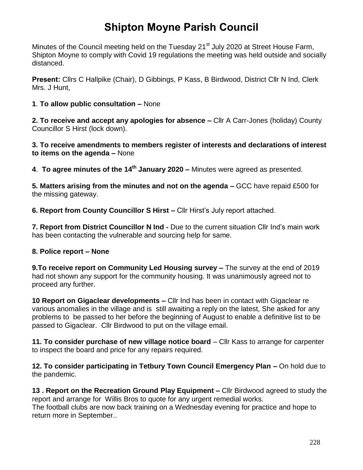## **Shipton Moyne Parish Council**

Minutes of the Council meeting held on the Tuesday 21<sup>st</sup> July 2020 at Street House Farm, Shipton Moyne to comply with Covid 19 regulations the meeting was held outside and socially distanced.

**Present:** Cllrs C Hallpike (Chair), D Gibbings, P Kass, B Birdwood, District Cllr N Ind, Clerk Mrs. J Hunt,

**1**. **To allow public consultation –** None

**2. To receive and accept any apologies for absence –** Cllr A Carr-Jones (holiday) County Councillor S Hirst (lock down).

**3. To receive amendments to members register of interests and declarations of interest to items on the agenda –** None

**4**. **To agree minutes of the 14th January 2020 –** Minutes were agreed as presented.

**5. Matters arising from the minutes and not on the agenda –** GCC have repaid £500 for the missing gateway.

**6. Report from County Councillor S Hirst –** Cllr Hirst's July report attached.

**7. Report from District Councillor N Ind -** Due to the current situation Cllr Ind's main work has been contacting the vulnerable and sourcing help for same.

### **8. Police report – None**

**9.To receive report on Community Led Housing survey –** The survey at the end of 2019 had not shown any support for the community housing. It was unanimously agreed not to proceed any further.

**10 Report on Gigaclear developments –** Cllr Ind has been in contact with Gigaclear re various anomalies in the village and is still awaiting a reply on the latest, She asked for any problems to be passed to her before the beginning of August to enable a definitive list to be passed to Gigaclear. Cllr Birdwood to put on the village email.

**11. To consider purchase of new village notice board** – Cllr Kass to arrange for carpenter to inspect the board and price for any repairs required.

**12. To consider participating in Tetbury Town Council Emergency Plan –** On hold due to the pandemic.

**13 . Report on the Recreation Ground Play Equipment –** Cllr Birdwood agreed to study the report and arrange for Willis Bros to quote for any urgent remedial works. The football clubs are now back training on a Wednesday evening for practice and hope to return more in September..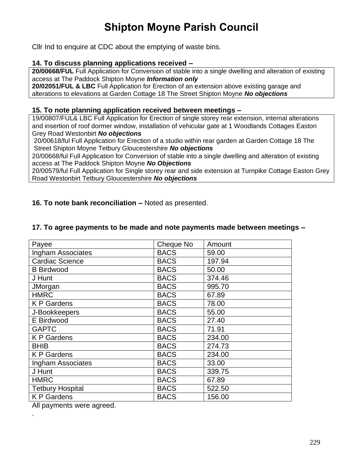# **Shipton Moyne Parish Council**

Cllr Ind to enquire at CDC about the emptying of waste bins.

#### **14. To discuss planning applications received –**

**20/00668/FUL** Full Application for Conversion of stable into a single dwelling and alteration of existing access at The Paddock Shipton Moyne *Information only*

**20/02051/FUL & LBC** Full Application for Erection of an extension above existing garage and alterations to elevations at Garden Cottage 18 The Street Shipton Moyne *No objections*

#### **15. To note planning application received between meetings –**

19/00807/FUL& LBC Full Application for Erection of single storey rear extension, internal alterations and insertion of roof dormer window, installation of vehicular gate at 1 Woodlands Cottages Easton Grey Road Westonbirt *No objections*

20/00618/ful Full Application for Erection of a studio within rear garden at Garden Cottage 18 The Street Shipton Moyne Tetbury Gloucestershire *No objections*

20/00668/ful Full Application for Conversion of stable into a single dwelling and alteration of existing access at The Paddock Shipton Moyne *No Objections*

20/00579/ful Full Application for Single storey rear and side extension at Turnpike Cottage Easton Grey Road Westonbirt Tetbury Gloucestershire *No objections*

**16. To note bank reconciliation –** Noted as presented.

#### **17. To agree payments to be made and note payments made between meetings –**

| <b>BACS</b> | 59.00       |
|-------------|-------------|
|             |             |
|             | 197.94      |
| <b>BACS</b> | 50.00       |
| <b>BACS</b> | 374.46      |
| <b>BACS</b> | 995.70      |
| <b>BACS</b> | 67.89       |
| <b>BACS</b> | 78.00       |
| <b>BACS</b> | 55.00       |
| <b>BACS</b> | 27.40       |
| <b>BACS</b> | 71.91       |
| <b>BACS</b> | 234.00      |
| <b>BACS</b> | 274.73      |
| <b>BACS</b> | 234.00      |
| <b>BACS</b> | 33.00       |
| <b>BACS</b> | 339.75      |
| <b>BACS</b> | 67.89       |
| <b>BACS</b> | 522.50      |
| <b>BACS</b> | 156.00      |
|             | <b>BACS</b> |

All payments were agreed.

.